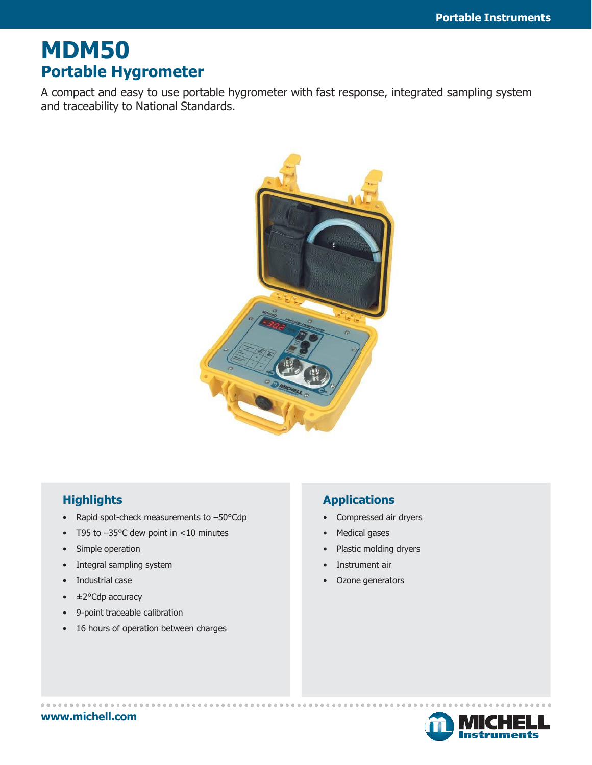# **MDM50 Portable Hygrometer**

A compact and easy to use portable hygrometer with fast response, integrated sampling system and traceability to National Standards.



### **Highlights**

- Rapid spot-check measurements to -50°Cdp
- T95 to –35°C dew point in <10 minutes
- Simple operation
- Integral sampling system
- Industrial case
- ±2°Cdp accuracy
- 9-point traceable calibration
- 16 hours of operation between charges

### **Applications**

- Compressed air dryers
- Medical gases
- Plastic molding dryers
- Instrument air
- Ozone generators



**[www.michell.com](http://www.michell.com/)**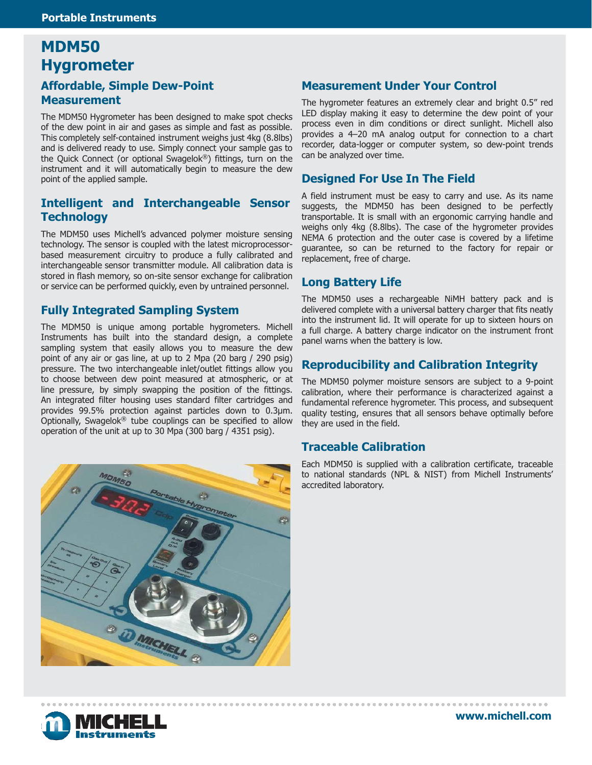## **MDM50 Hygrometer Affordable, Simple Dew-Point Measurement**

The MDM50 Hygrometer has been designed to make spot checks of the dew point in air and gases as simple and fast as possible. This completely self-contained instrument weighs just 4kg (8.8lbs) and is delivered ready to use. Simply connect your sample gas to the Quick Connect (or optional Swagelok ®) fittings, turn on the instrument and it will automatically begin to measure the dew point of the applied sample.

#### **Intelligent and Interchangeable Sensor Technology**

The MDM50 uses Michell's advanced polymer moisture sensing technology. The sensor is coupled with the latest microprocessorbased measurement circuitry to produce a fully calibrated and interchangeable sensor transmitter module. All calibration data is stored in flash memory, so on-site sensor exchange for calibration or service can be performed quickly, even by untrained personnel.

#### **Fully Integrated Sampling System**

The MDM50 is unique among portable hygrometers. Michell Instruments has built into the standard design, a complete sampling system that easily allows you to measure the dew point of any air or gas line, at up to 2 Mpa (20 barg / 290 psig) pressure. The two interchangeable inlet/outlet fittings allow you to choose between dew point measured at atmospheric, or at line pressure, by simply swapping the position of the fittings. An integrated filter housing uses standard filter cartridges and provides 99.5% protection against particles down to 0.3μm. Optionally, Swagelok ® tube couplings can be specified to allow operation of the unit at up to 30 Mpa (300 barg / 4351 psig).



#### **Measurement Under Your Control**

The hygrometer features an extremely clear and bright 0.5" red LED display making it easy to determine the dew point of your process even in dim conditions or direct sunlight. Michell also provides a 4–20 mA analog output for connection to a chart recorder, data-logger or computer system, so dew-point trends can be analyzed over time.

#### **Designed For Use In The Field**

A field instrument must be easy to carry and use. As its name suggests, the MDM50 has been designed to be perfectly transportable. It is small with an ergonomic carrying handle and weighs only 4kg (8.8lbs). The case of the hygrometer provides NEMA 6 protection and the outer case is covered by a lifetime guarantee, so can be returned to the factory for repair or replacement, free of charge.

#### **Long Battery Life**

The MDM50 uses a rechargeable NiMH battery pack and is delivered complete with a universal battery charger that fits neatly into the instrument lid. It will operate for up to sixteen hours on a full charge. A battery charge indicator on the instrument front panel warns when the battery is low.

#### **Reproducibility and Calibration Integrity**

The MDM50 polymer moisture sensors are subject to a 9-point calibration, where their performance is characterized against a fundamental reference hygrometer. This process, and subsequent quality testing, ensures that all sensors behave optimally before they are used in the field.

#### **Traceable Calibration**

Each MDM50 is supplied with a calibration certificate, traceable to national standards (NPL & NIST) from Michell Instruments' accredited laboratory.

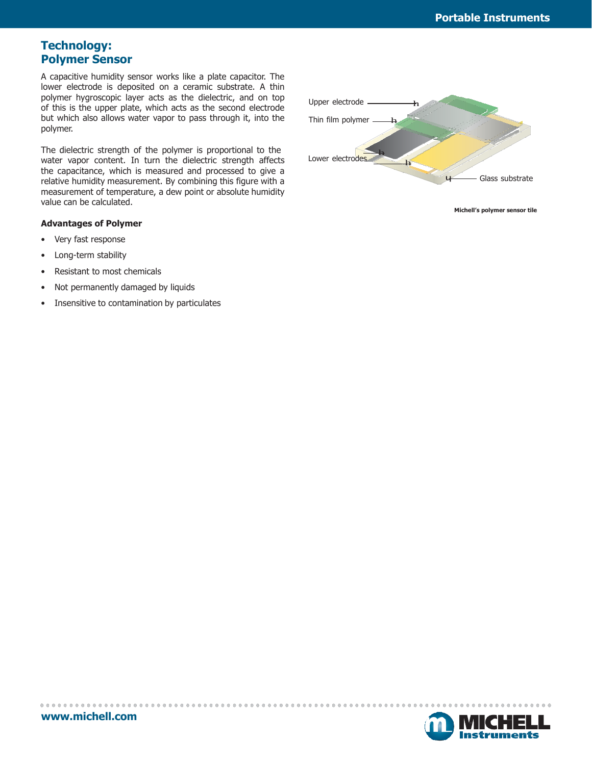#### **Technology: Polymer Sensor**

A capacitive humidity sensor works like a plate capacitor. The lower electrode is deposited on a ceramic substrate. A thin polymer hygroscopic layer acts as the dielectric, and on top of this is the upper plate, which acts as the second electrode but which also allows water vapor to pass through it, into the polymer.

The dielectric strength of the polymer is proportional to the water vapor content. In turn the dielectric strength affects the capacitance, which is measured and processed to give a relative humidity measurement. By combining this figure with a measurement of temperature, a dew point or absolute humidity value can be calculated.

#### **Advantages of Polymer**

- Very fast response
- Long-term stability
- Resistant to most chemicals
- Not permanently damaged by liquids
- Insensitive to contamination by particulates



**Michell's polymer sensor tile**